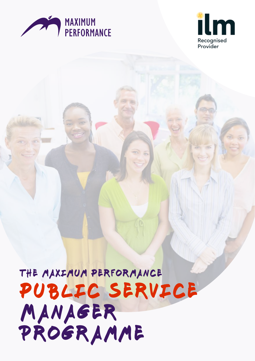



# public service MANAGER Programme THE MAXIMUM PERFORMANCE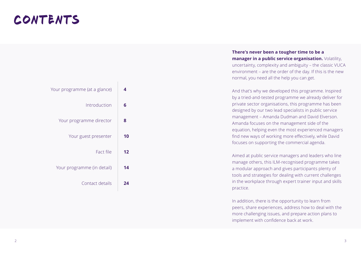## CONTENTS

| 4  | Your programme (at a glance) |
|----|------------------------------|
| 6  | Introduction                 |
| 8  | Your programme director      |
| 10 | Your guest presenter         |
| 12 | Fact file                    |
| 14 | Your programme (in detail)   |
| 24 | Contact details              |

**There's never been a tougher time to be a manager in a public service organisation.** Volatility, uncertainty, complexity and ambiguity – the classic VUCA environment – are the order of the day. If this is the new normal, you need all the help you can get.

And that's why we developed this programme. Inspired by a tried-and-tested programme we already deliver for private sector organisations, this programme has been designed by our two lead specialists in public service management – Amanda Dudman and David Elverson. Amanda focuses on the management side of the equation, helping even the most experienced managers find new ways of working more effectively, while David focuses on supporting the commercial agenda.

Aimed at public service managers and leaders who line manage others, this ILM-recognised programme takes a modular approach and gives participants plenty of tools and strategies for dealing with current challenges in the workplace through expert trainer input and skills practice.

In addition, there is the opportunity to learn from peers, share experiences, address how to deal with the more challenging issues, and prepare action plans to implement with confidence back at work.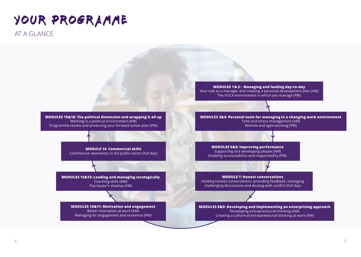## AT A GLANCE

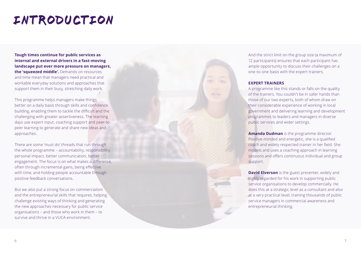## introduction

**Tough times continue for public services as internal and external drivers in a fast-moving landscape put ever more pressure on managers, the 'squeezed middle'.** Demands on resources and time mean that managers need practical and workable everyday solutions and approaches that support them in their busy, stretching daily work.

This programme helps managers make things better on a daily basis through skills and confidence building, enabling them to tackle the difficult and the challenging with greater assertiveness. The learning days use expert input, coaching support and peer-topeer learning to generate and share new ideas and approaches.

There are some 'must do' threads that run through the whole programme – accountability, responsibility, personal impact, better communication, better engagement. The focus is on what makes a difference, often through incremental gains, being effective with time, and holding people accountable through positive feedback conversations.

But we also put a strong focus on commercialism and the entrepreneurial skills that requires, helping challenge existing ways of thinking and generating the new approaches necessary for public service organisations – and those who work in them – to survive and thrive in a VUCA environment.

And the strict limit on the group size (a maximum of 12 participants) ensures that each participant has ample opportunity to discuss their challenges on a one-to-one basis with the expert trainers.

#### **EXPERT TRAINERS**

A programme like this stands or falls on the quality of the trainers. You couldn't be in safer hands than those of our two experts, both of whom draw on their considerable experience of working in local government and delivering learning and development programmes to leaders and managers in diverse public services and wider settings.

**Amanda Dudman** is the programme director. Positive-minded and energetic, she is a qualified coach and widely respected trainer in her field. She models and uses a coaching approach in learning sessions and offers continuous individual and group support.

**David Elverson** is the guest presenter, widely and highly regarded for his work in supporting public service organisations to develop commercially. He does this at a strategic level as a consultant and also at a very practical level, training thousands of public service managers in commercial awareness and entrepreneurial thinking.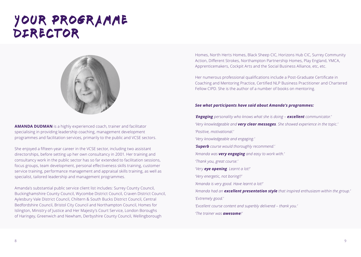## YOUR PROGRAMME director



**AMANDA DUDMAN** is a highly experienced coach, trainer and facilitator specialising in providing leadership coaching, management development programmes and facilitation services, primarily to the public and VCSE sectors.

She enjoyed a fifteen-year career in the VCSE sector, including two assistant directorships, before setting up her own consultancy in 2001. Her training and consultancy work in the public sector has so far extended to facilitation sessions, focus groups, team development, personal effectiveness skills training, customer service training, performance management and appraisal skills training, as well as specialist, tailored leadership and management programmes.

Amanda's substantial public service client list includes: Surrey County Council, Buckinghamshire County Council, Wycombe District Council, Craven District Council, Aylesbury Vale District Council, Chiltern & South Bucks District Council, Central Bedfordshire Council, Bristol City Council and Northampton Council, Homes for Islington, Ministry of Justice and Her Majesty's Court Service, London Boroughs of Haringey, Greenwich and Newham, Derbyshire County Council, Wellingborough

Homes, North Herts Homes, Black Sheep CIC, Horizons Hub CIC, Surrey Community Action, Different Strokes, Northampton Partnership Homes, Play England, YMCA, Apprenticemakers, Cockpit Arts and the Social Business Alliance, etc, etc.

Her numerous professional qualifications include a Post-Graduate Certificate in Coaching and Mentoring Practice, Certified NLP Business Practitioner and Chartered Fellow CIPD. She is the author of a number of books on mentoring.

#### *See what participants have said about Amanda's programmes:*

*'Engaging personality who knows what she is doing – excellent communicator.' 'Very knowledgeable and very clear messages. She showed experience in the topic.'*

*'Positive, motivational.'*

*'Very knowledgeable and engaging.'*

*'Superb course would thoroughly recommend.'*

*'Amanda was very engaging and easy to work with.'*

*'Thank you, great course.'*

*'Very eye opening. Learnt a lot!'*

*'Very energetic, not boring!!'*

*'Amanda is very good. Have learnt a lot!'*

*'Amanda had an excellent presentation style that inspired enthusiasm within the group.' 'Extremely good.'* 

*'Excellent course content and superbly delivered – thank you.'*

*'The trainer was awesome!'*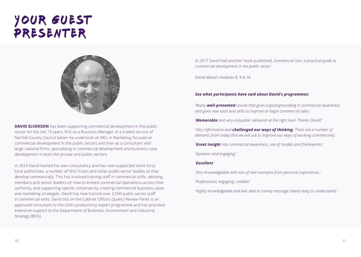## YOUR GUEST presenter



**DAVID ELVERSON** has been supporting commercial development in the public sector for the last 15 years, first as a Business Manager of a traded service of Norfolk County Council (when he undertook an MSc in Marketing focused on commercial development in the public sector) and then as a consultant with large national firms, specialising in commercial development and business case development in both the private and public sectors.

In 2014 David started his own consultancy and has now supported some forty local authorities, a number of NHS Trusts and other public-sector bodies as they develop commercially. This has involved training staff in commercial skills, advising members and senior leaders on how to embed commercial operations across their authority, and supporting specific initiatives by creating commercial business cases and marketing strategies. David has now trained over 2,500 public sector staff in commercial skills. David sits on the Cabinet Office's Quality Review Panel, is an approved consultant to the LGA's productivity expert programme and has provided extensive support to the Department of Business, Environment and Industrial Strategy (BEIS).

In 2017 David had another book published, *Commercial Gov: a practical guide to commercial development in the public sector*.

*David delivers modules 8, 9 & 14.*

#### *See what participants have said about David's programmes:*

*'Really well-presented course that gives a good grounding in commercial awareness and gives new tools and skills to improve or begin commercial sales.'*

*'Memorable and very enjoyable; delivered at the right level. Thanks David!'*

*'Very informative and challenged our ways of thinking. There are a number of elements from today that we will use to improve our ways of working commercially.'*

*'Great insight into commercial awareness, use of models and frameworks.'*

*'Dynamic and engaging.'*

#### *'Excellent.'*

*'Very knowledgeable with lots of real examples from personal experiences.'*

*'Professional, engaging, credible.'*

*'Highly knowledgeable and was able to convey message clearly (easy to understand).'*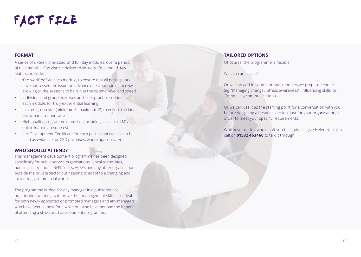# FACT FILE

#### **FORMAT**

A series of sixteen 'bite-sized' and full-day modules, over a period of nine months. Can also be delivered virtually. Or blended. Key features include:

- 'Pre-work' before each module, to ensure that all participants have addressed the issues in advance of each module, thereby allowing all the sessions to be run at the optimal level and speed
- Individual and group exercises and skills practice sessions in each module, for truly experiential learning
- Limited group size (minimum 6, maximum 12) to ensure the ideal participant: trainer ratio
- High quality programme materials (including access to ILM's online learning resources)
- ILM Development Certificate for each participant (which can be used as evidence for CPD purposes, where appropriate)

### **WHO SHOULD ATTEND?**

This management development programme has been designed specifically for public service organisations – local authorities, housing associations, NHS Trusts, VCSEs and any other organisations outside the private sector but needing to adapt to a changing and increasingly commercial world.

The programme is ideal for any manager in a public service organisation wanting to improve their management skills. It is ideal for both newly appointed or promoted managers and any managers who have been in post for a while but who have not had the benefit of attending a structured development programme.

#### **TAILORED OPTIONS**

Of course, the programme is flexible.

We can run it 'as is'.

Or we can add in some optional modules we prepared earlier (eg, 'Managing change', 'Stress awareness', 'Influencing skills' or 'Compelling communication').

Or we can use it as the starting point for a conversation with you before designing a bespoke version, just for your organisation, in order to meet your specific requirements.

Whichever option would suit you best, please give Helen Nuttall a call on **01582 463460** to talk it through.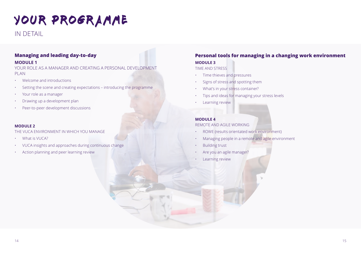IN DETAIL

### **Managing and leading day-to-day**

#### **MODULE 1**

YOUR ROLE AS A MANAGER AND CREATING A PERSONAL DEVELOPMENT PLAN

- Welcome and introductions
- Setting the scene and creating expectations introducing the programme
- Your role as a manager
- Drawing up a development plan
- Peer-to-peer development discussions

#### **MODULE 2**

THE VUCA ENVIRONMENT IN WHICH YOU MANAGE

- What is VUCA?
- VUCA insights and approaches during continuous change
- Action planning and peer learning review

### **Personal tools for managing in a changing work environment MODULE 3**

#### TIME AND STRESS

- Time thieves and pressures
- Signs of stress and spotting them
- What's in your stress container?
- Tips and ideas for managing your stress levels
- Learning review

#### **MODULE 4**

#### REMOTE AND AGILE WORKING

- ROWE (results orientated work environment)
- Managing people in a remote and agile environment
- Building trust
- Are you an agile manager?
- Learning review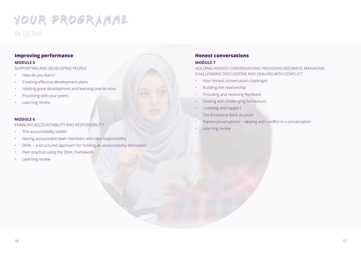### IN DETAIL

### **Improving performance**

#### **MODULE 5**

SUPPORTING AND DEVELOPING PEOPLE

- How do you learn?
- Creating effective development plans
- Holding great development and learning one-to-ones
- Practising with your peers
- Learning review

#### **MODULE 6**

#### ENABLING ACCOUNTABILITY AND RESPONSIBILITY

- The accountability ladder
- Having accountable team members who take responsibility
- DEAL a structured approach for holding an accountability discussion
- Peer practice using the DEAL framework
- Learning review

### **Honest conversations**

#### **MODULE 7**

HOLDING HONEST CONVERSATIONS: PROVIDING FEEDBACK, MANAGING CHALLENGING DISCUSSIONS AND DEALING WITH CONFLICT

- Your honest conversation challenges
- Building the relationship
- Providing and receiving feedback
- Dealing with challenging behaviours
- Listening and rapport
- The Emotional Bank Account
- 'Fierce conversations' dealing with conflict in a conversation
- Learning review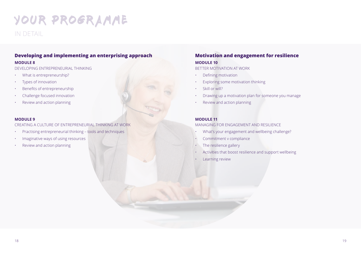IN DETAIL

### **Developing and implementing an enterprising approach MODULE 8**

DEVELOPING ENTREPRENEURIAL THINKING

- What is entrepreneurship?
- Types of innovation
- Benefits of entrepreneurship
- Challenge focused innovation
- Review and action planning

#### **MODULE 9**

CREATING A CULTURE OF ENTREPRENEURIAL THINKING AT WORK

- Practising entrepreneurial thinking tools and techniques
- Imaginative ways of using resources
- Review and action planning

### **Motivation and engagement for resilience MODULE 10**

BETTER MOTIVATION AT WORK

- Defining motivation
- Exploring some motivation thinking
- Skill or will?
- Drawing up a motivation plan for someone you manage
- Review and action planning

#### **MODULE 11**

#### MANAGING FOR ENGAGEMENT AND RESILIENCE

- What's your engagement and wellbeing challenge?
- Commitment v compliance
- The resilience gallery
- Activities that boost resilience and support wellbeing
- Learning review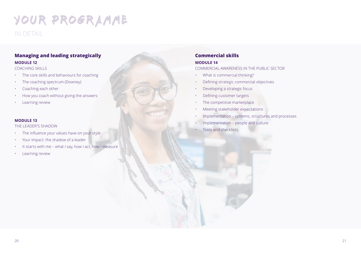### IN DETAIL

### **Managing and leading strategically MODULE 12**

#### COACHING SKILLS

- The core skills and behaviours for coaching
- The coaching spectrum (Downey)
- Coaching each other
- How you coach without giving the answers
- Learning review

#### **MODULE 13**

#### THE LEADER'S SHADOW

- The influence your values have on your style
- Your impact: the shadow of a leader
- It starts with me what I say, how I act, how I measure
- Learning review

### **Commercial skills MODULE 14**

#### COMMERCIAL AWARENESS IN THE PUBLIC SECTOR

- What is commercial thinking?
- Defining strategic commercial objectives
- Developing a strategic focus
- Defining customer targets
- The competitive marketplace
- Meeting stakeholder expectations
- Implementation systems, structures and processes
- Implementation people and culture
- Tools and checklists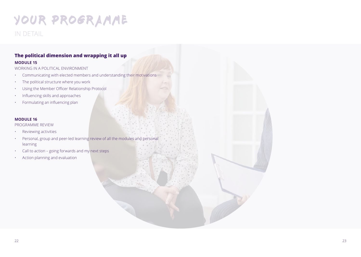## IN DETAIL

### **The political dimension and wrapping it all up**

#### **MODULE 15**

WORKING IN A POLITICAL ENVIRONMENT

- Communicating with elected members and understanding their motivations
- The political structure where you work
- Using the Member Officer Relationship Protocol
- Influencing skills and approaches
- Formulating an influencing plan

#### **MODULE 16**

PROGRAMME REVIEW

- Reviewing activities
- Personal, group and peer-led learning review of all the modules and personal learning
- $\cdot$  Call to action going forwards and my next steps
- Action planning and evaluation